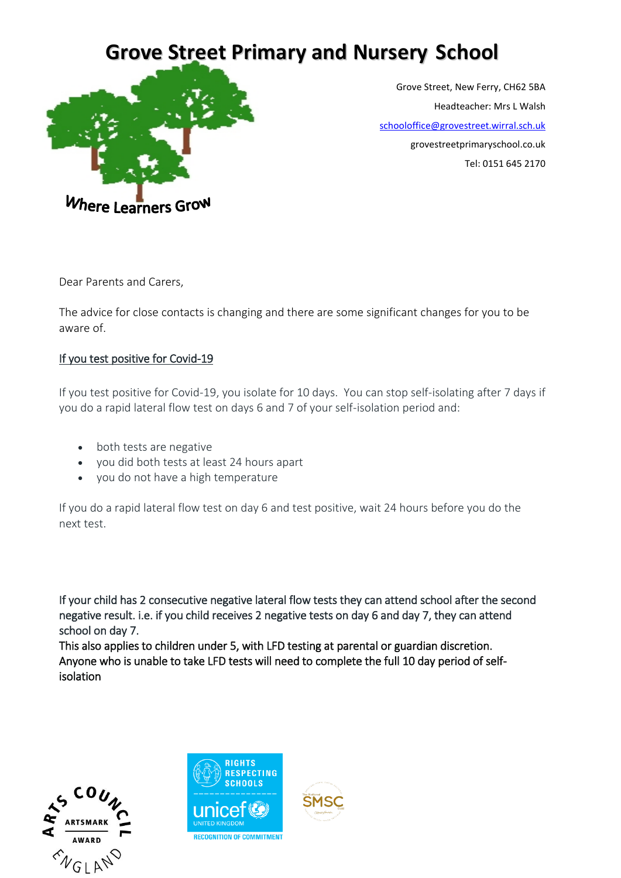## **Grove Street Primary and Nursery School**



Grove Street, New Ferry, CH62 5BA Headteacher: Mrs L Walsh [schooloffice@grovestreet.wirral.sch.uk](mailto:schooloffice@grovestreet.wirral.sch.uk) grovestreetprimaryschool.co.uk Tel: 0151 645 2170

Dear Parents and Carers,

The advice for close contacts is changing and there are some significant changes for you to be aware of.

## If you test positive for Covid-19

If you test positive for Covid-19, you isolate for 10 days. You can stop self-isolating after 7 days if you do a rapid lateral flow test on days 6 and 7 of your self-isolation period and:

- both tests are negative
- you did both tests at least 24 hours apart
- you do not have a high temperature

If you do a rapid lateral flow test on day 6 and test positive, wait 24 hours before you do the next test.

If your child has 2 consecutive negative lateral flow tests they can attend school after the second negative result. i.e. if you child receives 2 negative tests on day 6 and day 7, they can attend school on day 7.

This also applies to children under 5, with LFD testing at parental or guardian discretion. Anyone who is unable to take LFD tests will need to complete the full 10 day period of selfisolation